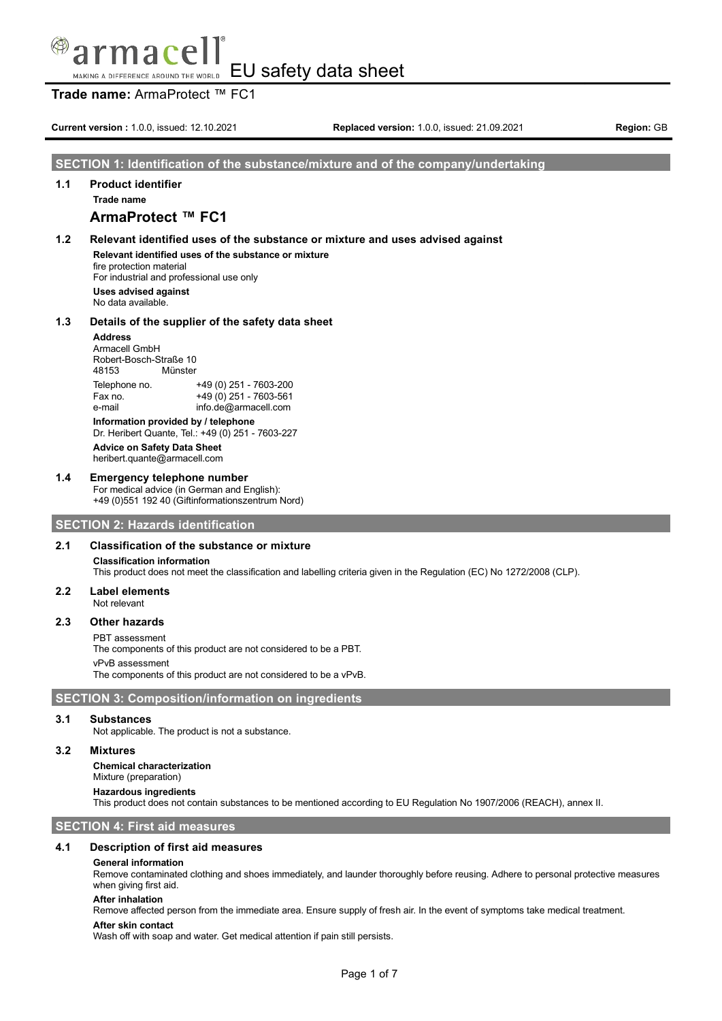# mace MAKING A DIFFERENCE AROUND THE WORLD EU Safety data sheet

**Trade name:** ArmaProtect ™ FC1

**Current version :** 1.0.0, issued: 12.10.2021 **Replaced version:** 1.0.0, issued: 21.09.2021 **Region:** GB

## **SECTION 1: Identification of the substance/mixture and of the company/undertaking**

## **1.1 Product identifier Trade name**

# **ArmaProtect ™ FC1**

## **1.2 Relevant identified uses of the substance or mixture and uses advised against Relevant identified uses of the substance or mixture**

fire protection material

For industrial and professional use only

**Uses advised against** No data available.

## **1.3 Details of the supplier of the safety data sheet**

**Address** Armacell GmbH Robert-Bosch-Straße 10<br>48153 Münster Münster Telephone no. +49 (0) 251 - 7603-200 Fax no.  $+49(0)251 - 7603 - 561$ e-mail info.de@armacell.com

**Information provided by / telephone** Dr. Heribert Quante, Tel.: +49 (0) 251 - 7603-227 **Advice on Safety Data Sheet** heribert.quante@armacell.com

## **1.4 Emergency telephone number**

For medical advice (in German and English): +49 (0)551 192 40 (Giftinformationszentrum Nord)

## **SECTION 2: Hazards identification**

## **2.1 Classification of the substance or mixture**

**Classification information**

This product does not meet the classification and labelling criteria given in the Regulation (EC) No 1272/2008 (CLP).

#### **2.2 Label elements** Not relevant

**2.3 Other hazards**

## PBT assessment

The components of this product are not considered to be a PBT.

vPvB assessment

The components of this product are not considered to be a vPvB.

## **SECTION 3: Composition/information on ingredients**

#### **3.1 Substances**

Not applicable. The product is not a substance.

## **3.2 Mixtures**

**Chemical characterization** Mixture (preparation)

#### **Hazardous ingredients**

This product does not contain substances to be mentioned according to EU Regulation No 1907/2006 (REACH), annex II.

**SECTION 4: First aid measures**

## **4.1 Description of first aid measures**

#### **General information**

Remove contaminated clothing and shoes immediately, and launder thoroughly before reusing. Adhere to personal protective measures when giving first aid.

## **After inhalation**

Remove affected person from the immediate area. Ensure supply of fresh air. In the event of symptoms take medical treatment.

## **After skin contact**

Wash off with soap and water. Get medical attention if pain still persists.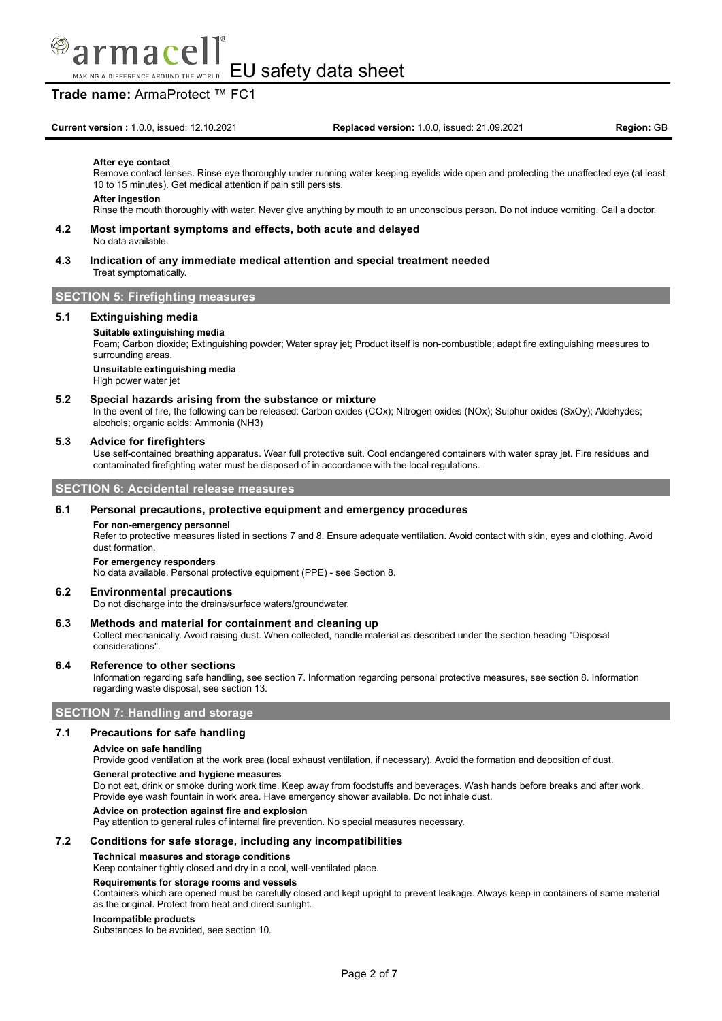

## **Trade name:** ArmaProtect ™ FC1

#### **After eye contact**

Remove contact lenses. Rinse eye thoroughly under running water keeping eyelids wide open and protecting the unaffected eye (at least 10 to 15 minutes). Get medical attention if pain still persists.

#### **After ingestion**

Rinse the mouth thoroughly with water. Never give anything by mouth to an unconscious person. Do not induce vomiting. Call a doctor.

- **4.2 Most important symptoms and effects, both acute and delayed** No data available.
- **4.3 Indication of any immediate medical attention and special treatment needed** Treat symptomatically.

## **SECTION 5: Firefighting measures**

### **5.1 Extinguishing media**

#### **Suitable extinguishing media**

Foam; Carbon dioxide; Extinguishing powder; Water spray jet; Product itself is non-combustible; adapt fire extinguishing measures to surrounding areas.

## **Unsuitable extinguishing media**

High power water jet

#### **5.2 Special hazards arising from the substance or mixture**

In the event of fire, the following can be released: Carbon oxides (COx); Nitrogen oxides (NOx); Sulphur oxides (SxOy); Aldehydes; alcohols; organic acids; Ammonia (NH3)

#### **5.3 Advice for firefighters**

Use self-contained breathing apparatus. Wear full protective suit. Cool endangered containers with water spray jet. Fire residues and contaminated firefighting water must be disposed of in accordance with the local regulations.

### **SECTION 6: Accidental release measures**

## **6.1 Personal precautions, protective equipment and emergency procedures**

#### **For non-emergency personnel**

Refer to protective measures listed in sections 7 and 8. Ensure adequate ventilation. Avoid contact with skin, eyes and clothing. Avoid dust formation.

#### **For emergency responders**

No data available. Personal protective equipment (PPE) - see Section 8.

#### **6.2 Environmental precautions**

Do not discharge into the drains/surface waters/groundwater.

#### **6.3 Methods and material for containment and cleaning up**

Collect mechanically. Avoid raising dust. When collected, handle material as described under the section heading "Disposal considerations".

#### **6.4 Reference to other sections**

Information regarding safe handling, see section 7. Information regarding personal protective measures, see section 8. Information regarding waste disposal, see section 13.

## **SECTION 7: Handling and storage**

#### **7.1 Precautions for safe handling**

#### **Advice on safe handling**

Provide good ventilation at the work area (local exhaust ventilation, if necessary). Avoid the formation and deposition of dust.

#### **General protective and hygiene measures**

Do not eat, drink or smoke during work time. Keep away from foodstuffs and beverages. Wash hands before breaks and after work. Provide eye wash fountain in work area. Have emergency shower available. Do not inhale dust.

### **Advice on protection against fire and explosion**

Pay attention to general rules of internal fire prevention. No special measures necessary.

#### **7.2 Conditions for safe storage, including any incompatibilities**

#### **Technical measures and storage conditions**

Keep container tightly closed and dry in a cool, well-ventilated place.

#### **Requirements for storage rooms and vessels**

Containers which are opened must be carefully closed and kept upright to prevent leakage. Always keep in containers of same material as the original. Protect from heat and direct sunlight.

#### **Incompatible products**

Substances to be avoided, see section 10.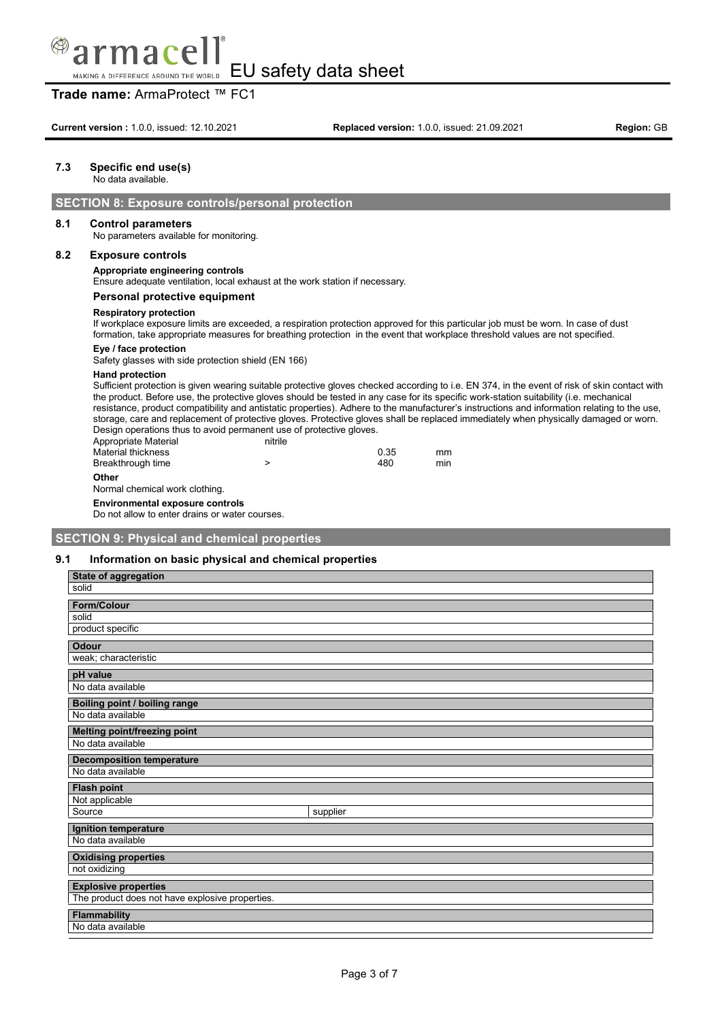# mace MAKING A DIFFERENCE AROUND THE WORLD

EU safety data sheet

# **Trade name:** ArmaProtect ™ FC1

## **7.3 Specific end use(s)**

No data available.

## **SECTION 8: Exposure controls/personal protection**

#### **8.1 Control parameters**

No parameters available for monitoring.

### **8.2 Exposure controls**

### **Appropriate engineering controls**

Ensure adequate ventilation, local exhaust at the work station if necessary.

### **Personal protective equipment**

#### **Respiratory protection**

If workplace exposure limits are exceeded, a respiration protection approved for this particular job must be worn. In case of dust formation, take appropriate measures for breathing protection in the event that workplace threshold values are not specified.

#### **Eye / face protection**

Safety glasses with side protection shield (EN 166)

#### **Hand protection**

Sufficient protection is given wearing suitable protective gloves checked according to i.e. EN 374, in the event of risk of skin contact with the product. Before use, the protective gloves should be tested in any case for its specific work-station suitability (i.e. mechanical resistance, product compatibility and antistatic properties). Adhere to the manufacturer's instructions and information relating to the use, storage, care and replacement of protective gloves. Protective gloves shall be replaced immediately when physically damaged or worn. Design operations thus to avoid permanent use of protective gloves.

| Appropriate Material | nitrile |      |     |
|----------------------|---------|------|-----|
| Material thickness   |         | 0.35 | mm  |
| Breakthrough time    |         | 480  | min |

**Other**

### Normal chemical work clothing.

**Environmental exposure controls**

Do not allow to enter drains or water courses.

### **SECTION 9: Physical and chemical properties**

#### **9.1 Information on basic physical and chemical properties**

| <b>State of aggregation</b>                     |          |
|-------------------------------------------------|----------|
| solid                                           |          |
| <b>Form/Colour</b>                              |          |
| solid                                           |          |
| product specific                                |          |
| <b>Odour</b>                                    |          |
| weak; characteristic                            |          |
| pH value                                        |          |
| No data available                               |          |
| <b>Boiling point / boiling range</b>            |          |
| No data available                               |          |
| Melting point/freezing point                    |          |
| No data available                               |          |
|                                                 |          |
| <b>Decomposition temperature</b>                |          |
| No data available                               |          |
| <b>Flash point</b>                              |          |
| Not applicable                                  |          |
| Source                                          | supplier |
| Ignition temperature                            |          |
| No data available                               |          |
| <b>Oxidising properties</b>                     |          |
| not oxidizing                                   |          |
| <b>Explosive properties</b>                     |          |
| The product does not have explosive properties. |          |
| <b>Flammability</b><br>No data available        |          |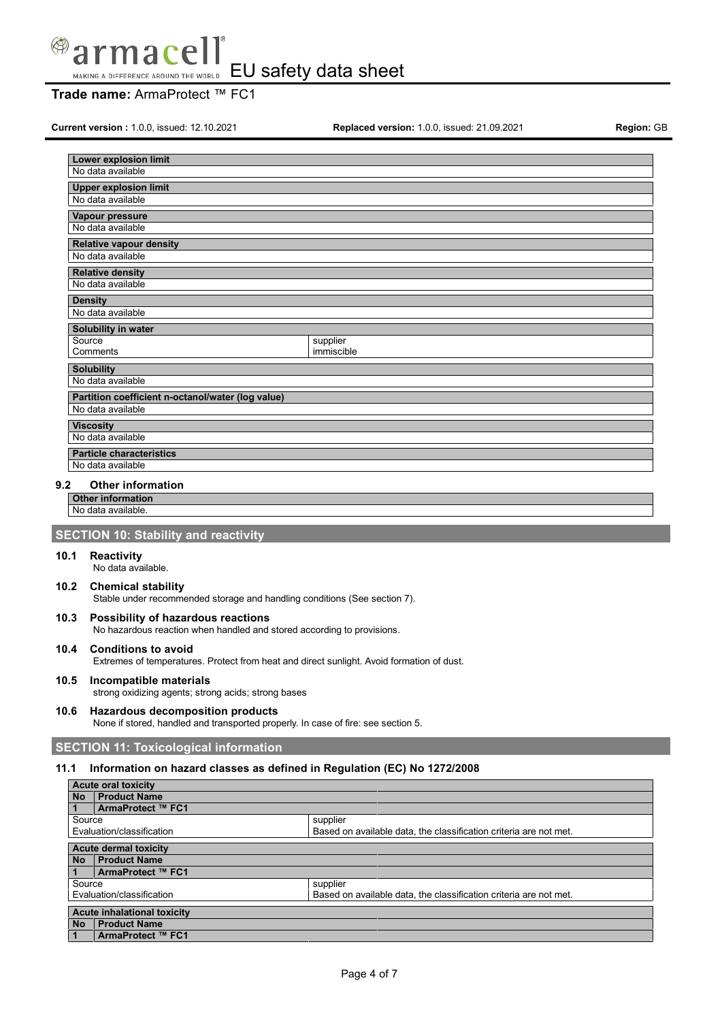

## **Trade name:** ArmaProtect ™ FC1

**Current version :** 1.0.0, issued: 12.10.2021 **Replaced version:** 1.0.0, issued: 21.09.2021 **Region:** GB

| Lower explosion limit                             |            |
|---------------------------------------------------|------------|
| No data available                                 |            |
| <b>Upper explosion limit</b>                      |            |
| No data available                                 |            |
| Vapour pressure                                   |            |
| No data available                                 |            |
| <b>Relative vapour density</b>                    |            |
| No data available                                 |            |
| <b>Relative density</b>                           |            |
| No data available                                 |            |
| <b>Density</b>                                    |            |
| No data available                                 |            |
| Solubility in water                               |            |
|                                                   |            |
| Source                                            | supplier   |
| Comments                                          | immiscible |
| <b>Solubility</b>                                 |            |
| No data available                                 |            |
| Partition coefficient n-octanol/water (log value) |            |
| No data available                                 |            |
| <b>Viscosity</b>                                  |            |
| No data available                                 |            |
| <b>Particle characteristics</b>                   |            |
| No data available                                 |            |

### **9.2 Other information**

**Other information** No data available.

## **SECTION 10: Stability and reactivity**

### **10.1 Reactivity**

No data available.

#### **10.2 Chemical stability** Stable under recommended storage and handling conditions (See section 7).

**10.3 Possibility of hazardous reactions**

No hazardous reaction when handled and stored according to provisions.

### **10.4 Conditions to avoid**

Extremes of temperatures. Protect from heat and direct sunlight. Avoid formation of dust.

# **10.5 Incompatible materials**

strong oxidizing agents; strong acids; strong bases

## **10.6 Hazardous decomposition products**

None if stored, handled and transported properly. In case of fire: see section 5.

## **SECTION 11: Toxicological information**

## **11.1 Information on hazard classes as defined in Regulation (EC) No 1272/2008**

| <b>Acute oral toxicity</b> |                                    |                                                                   |
|----------------------------|------------------------------------|-------------------------------------------------------------------|
| No                         | <b>Product Name</b>                |                                                                   |
|                            | ArmaProtect ™ FC1                  |                                                                   |
| Source                     |                                    | supplier                                                          |
|                            | Evaluation/classification          | Based on available data, the classification criteria are not met. |
|                            | <b>Acute dermal toxicity</b>       |                                                                   |
|                            |                                    |                                                                   |
| No                         | <b>Product Name</b>                |                                                                   |
|                            | ArmaProtect ™ FC1                  |                                                                   |
| Source                     |                                    | supplier                                                          |
|                            | Evaluation/classification          | Based on available data, the classification criteria are not met. |
|                            | <b>Acute inhalational toxicity</b> |                                                                   |
| <b>No</b>                  | <b>Product Name</b>                |                                                                   |
|                            | ArmaProtect ™ FC1                  |                                                                   |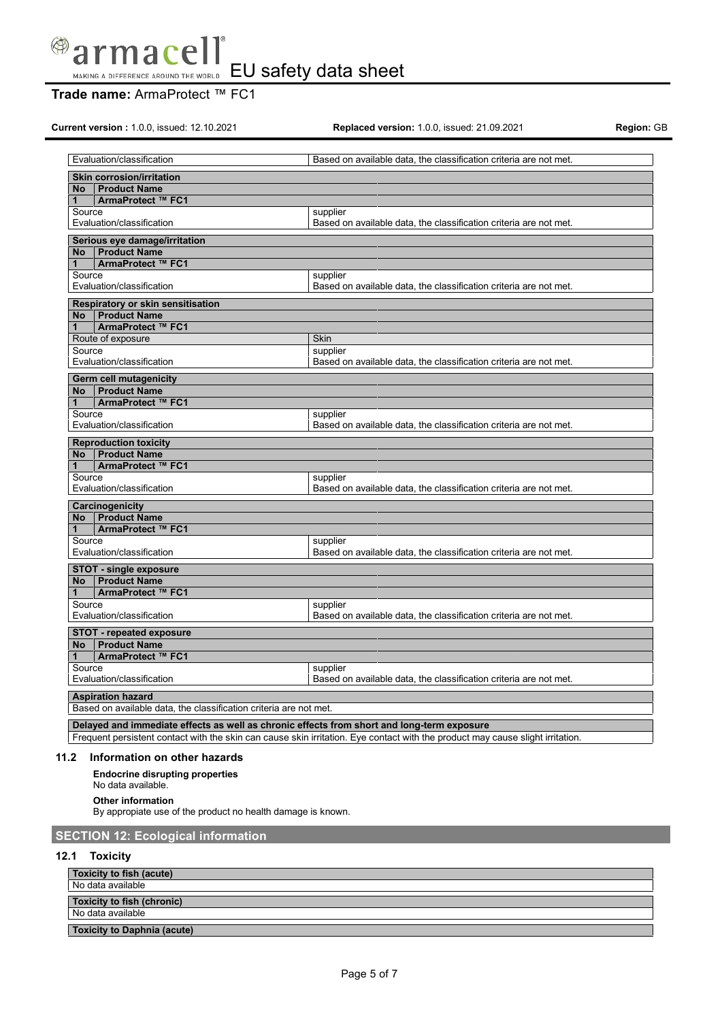

## **Trade name:** ArmaProtect ™ FC1

**Current version :** 1.0.0, issued: 12.10.2021 **Replaced version:** 1.0.0, issued: 21.09.2021 **Region:** GB

|                 | Evaluation/classification                                                                     | Based on available data, the classification criteria are not met.                                                              |  |
|-----------------|-----------------------------------------------------------------------------------------------|--------------------------------------------------------------------------------------------------------------------------------|--|
|                 |                                                                                               |                                                                                                                                |  |
|                 | <b>Skin corrosion/irritation</b>                                                              |                                                                                                                                |  |
| No<br>1         | <b>Product Name</b><br>ArmaProtect ™ FC1                                                      |                                                                                                                                |  |
| Source          |                                                                                               | supplier                                                                                                                       |  |
|                 | Evaluation/classification                                                                     | Based on available data, the classification criteria are not met.                                                              |  |
|                 |                                                                                               |                                                                                                                                |  |
|                 | Serious eye damage/irritation                                                                 |                                                                                                                                |  |
| <b>No</b><br>1  | <b>Product Name</b><br>ArmaProtect ™ FC1                                                      |                                                                                                                                |  |
| Source          |                                                                                               | supplier                                                                                                                       |  |
|                 | Evaluation/classification                                                                     | Based on available data, the classification criteria are not met.                                                              |  |
|                 |                                                                                               |                                                                                                                                |  |
| <b>No</b>       | Respiratory or skin sensitisation<br><b>Product Name</b>                                      |                                                                                                                                |  |
| $\mathbf{1}$    | ArmaProtect ™ FC1                                                                             |                                                                                                                                |  |
|                 | Route of exposure                                                                             | Skin                                                                                                                           |  |
| Source          |                                                                                               | supplier                                                                                                                       |  |
|                 | Evaluation/classification                                                                     | Based on available data, the classification criteria are not met.                                                              |  |
|                 |                                                                                               |                                                                                                                                |  |
| <b>No</b>       | <b>Germ cell mutagenicity</b><br><b>Product Name</b>                                          |                                                                                                                                |  |
| $\mathbf{1}$    | ArmaProtect ™ FC1                                                                             |                                                                                                                                |  |
| Source          |                                                                                               | supplier                                                                                                                       |  |
|                 | Evaluation/classification                                                                     | Based on available data, the classification criteria are not met.                                                              |  |
|                 |                                                                                               |                                                                                                                                |  |
|                 | <b>Reproduction toxicity</b><br>No Product Name                                               |                                                                                                                                |  |
| $\mathbf{1}$    | ArmaProtect ™ FC1                                                                             |                                                                                                                                |  |
| Source          |                                                                                               | supplier                                                                                                                       |  |
|                 | Evaluation/classification                                                                     | Based on available data, the classification criteria are not met.                                                              |  |
| Carcinogenicity |                                                                                               |                                                                                                                                |  |
| <b>No</b>       | <b>Product Name</b>                                                                           |                                                                                                                                |  |
| 1               | ArmaProtect ™ FC1                                                                             |                                                                                                                                |  |
| Source          |                                                                                               | supplier                                                                                                                       |  |
|                 | Evaluation/classification                                                                     | Based on available data, the classification criteria are not met.                                                              |  |
|                 | <b>STOT - single exposure</b>                                                                 |                                                                                                                                |  |
| No l            | <b>Product Name</b>                                                                           |                                                                                                                                |  |
| $\mathbf{1}$    | ArmaProtect ™ FC1                                                                             |                                                                                                                                |  |
| Source          |                                                                                               | supplier                                                                                                                       |  |
|                 | Evaluation/classification                                                                     | Based on available data, the classification criteria are not met.                                                              |  |
|                 | <b>STOT - repeated exposure</b>                                                               |                                                                                                                                |  |
| No l            | <b>Product Name</b>                                                                           |                                                                                                                                |  |
| $1 -$           | ArmaProtect ™ FC1                                                                             |                                                                                                                                |  |
| Source          |                                                                                               | supplier                                                                                                                       |  |
|                 | Evaluation/classification                                                                     | Based on available data, the classification criteria are not met.                                                              |  |
|                 |                                                                                               |                                                                                                                                |  |
|                 | <b>Aspiration hazard</b><br>Based on available data, the classification criteria are not met. |                                                                                                                                |  |
|                 |                                                                                               |                                                                                                                                |  |
|                 | Delayed and immediate effects as well as chronic effects from short and long-term exposure    |                                                                                                                                |  |
|                 |                                                                                               | Frequent persistent contact with the skin can cause skin irritation. Eye contact with the product may cause slight irritation. |  |

#### **11.2 Information on other hazards**

**Endocrine disrupting properties**

## No data available.

**Other information**

By appropiate use of the product no health damage is known.

# **SECTION 12: Ecological information**

## **12.1 Toxicity**

| Toxicity to fish (acute)           |  |
|------------------------------------|--|
| No data available                  |  |
| Toxicity to fish (chronic)         |  |
| No data available                  |  |
| <b>Toxicity to Daphnia (acute)</b> |  |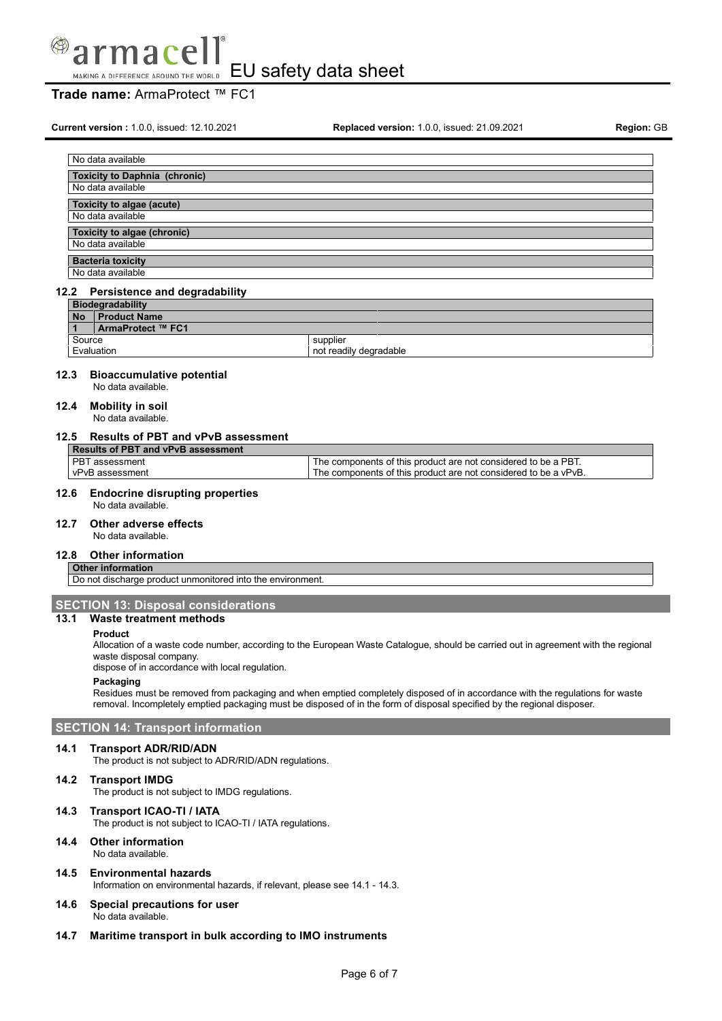

## **Trade name:** ArmaProtect ™ FC1

**Current version :** 1.0.0, issued: 12.10.2021 **Replaced version:** 1.0.0, issued: 21.09.2021 **Region:** GB

| No data available                                         |
|-----------------------------------------------------------|
| <b>Toxicity to Daphnia (chronic)</b><br>No data available |
| Toxicity to algae (acute)                                 |
| No data available<br><b>Toxicity to algae (chronic)</b>   |
| No data available                                         |
| <b>Bacteria toxicity</b>                                  |

# No data available

#### **12.2 Persistence and degradability Biodegradability No Product Name 1 ArmaProtect ™ FC1** Source supplier<br>Evaluation read supplier<br>not read not readily degradable

#### **12.3 Bioaccumulative potential**

No data available.

## **12.4 Mobility in soil**

No data available.

## **12.5 Results of PBT and vPvB assessment**

| <b>Results of PBT and vPvB assessment</b> |                                                                 |
|-------------------------------------------|-----------------------------------------------------------------|
| l PBT assessment                          | The components of this product are not considered to be a PBT.  |
| vPvB assessment                           | The components of this product are not considered to be a vPvB. |
|                                           |                                                                 |

#### **12.6 Endocrine disrupting properties** No data available.

**12.7 Other adverse effects**

## No data available.

## **12.8 Other information**

**Other information** Do not discharge product unmonitored into the environment.

#### **SECTION 13: Disposal considerations**

## **13.1 Waste treatment methods**

#### **Product**

Allocation of a waste code number, according to the European Waste Catalogue, should be carried out in agreement with the regional waste disposal company.

dispose of in accordance with local regulation.

#### **Packaging**

Residues must be removed from packaging and when emptied completely disposed of in accordance with the regulations for waste removal. Incompletely emptied packaging must be disposed of in the form of disposal specified by the regional disposer.

#### **SECTION 14: Transport information**

#### **14.1 Transport ADR/RID/ADN**

The product is not subject to ADR/RID/ADN regulations.

## **14.2 Transport IMDG**

The product is not subject to IMDG regulations.

## **14.3 Transport ICAO-TI / IATA**

The product is not subject to ICAO-TI / IATA regulations.

## **14.4 Other information**

No data available.

## **14.5 Environmental hazards**

Information on environmental hazards, if relevant, please see 14.1 - 14.3.

**14.6 Special precautions for user** No data available.

#### **14.7 Maritime transport in bulk according to IMO instruments**